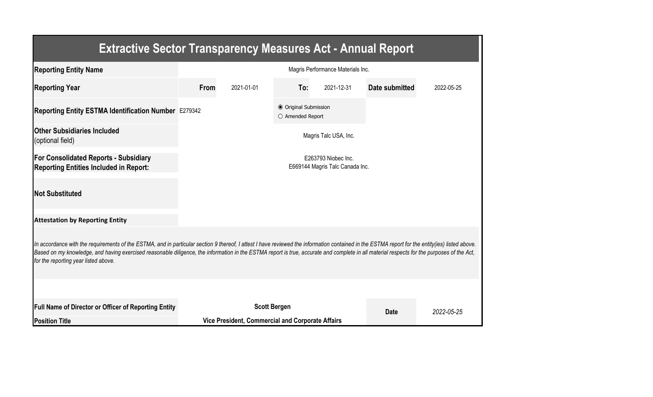| <b>Extractive Sector Transparency Measures Act - Annual Report</b>                                                                                                                                                                                                                                                                                                                                                                    |                                                        |                                                  |             |                       |                |            |  |  |  |  |
|---------------------------------------------------------------------------------------------------------------------------------------------------------------------------------------------------------------------------------------------------------------------------------------------------------------------------------------------------------------------------------------------------------------------------------------|--------------------------------------------------------|--------------------------------------------------|-------------|-----------------------|----------------|------------|--|--|--|--|
| <b>Reporting Entity Name</b>                                                                                                                                                                                                                                                                                                                                                                                                          | Magris Performance Materials Inc.                      |                                                  |             |                       |                |            |  |  |  |  |
| <b>Reporting Year</b>                                                                                                                                                                                                                                                                                                                                                                                                                 | From                                                   | 2021-01-01                                       | To:         | 2021-12-31            | Date submitted | 2022-05-25 |  |  |  |  |
| Reporting Entity ESTMA Identification Number E279342                                                                                                                                                                                                                                                                                                                                                                                  |                                                        |                                                  |             |                       |                |            |  |  |  |  |
| <b>Other Subsidiaries Included</b><br>(optional field)                                                                                                                                                                                                                                                                                                                                                                                |                                                        |                                                  |             | Magris Talc USA, Inc. |                |            |  |  |  |  |
| <b>For Consolidated Reports - Subsidiary</b><br><b>Reporting Entities Included in Report:</b>                                                                                                                                                                                                                                                                                                                                         | E263793 Niobec Inc.<br>E669144 Magris Talc Canada Inc. |                                                  |             |                       |                |            |  |  |  |  |
| <b>Not Substituted</b>                                                                                                                                                                                                                                                                                                                                                                                                                |                                                        |                                                  |             |                       |                |            |  |  |  |  |
| <b>Attestation by Reporting Entity</b>                                                                                                                                                                                                                                                                                                                                                                                                |                                                        |                                                  |             |                       |                |            |  |  |  |  |
| In accordance with the requirements of the ESTMA, and in particular section 9 thereof, I attest I have reviewed the information contained in the ESTMA report for the entity(ies) listed above.<br>Based on my knowledge, and having exercised reasonable diligence, the information in the ESTMA report is true, accurate and complete in all material respects for the purposes of the Act,<br>for the reporting year listed above. |                                                        |                                                  |             |                       |                |            |  |  |  |  |
| <b>Full Name of Director or Officer of Reporting Entity</b>                                                                                                                                                                                                                                                                                                                                                                           |                                                        | <b>Scott Bergen</b>                              |             |                       |                |            |  |  |  |  |
| <b>Position Title</b>                                                                                                                                                                                                                                                                                                                                                                                                                 |                                                        | Vice President, Commercial and Corporate Affairs | <b>Date</b> | 2022-05-25            |                |            |  |  |  |  |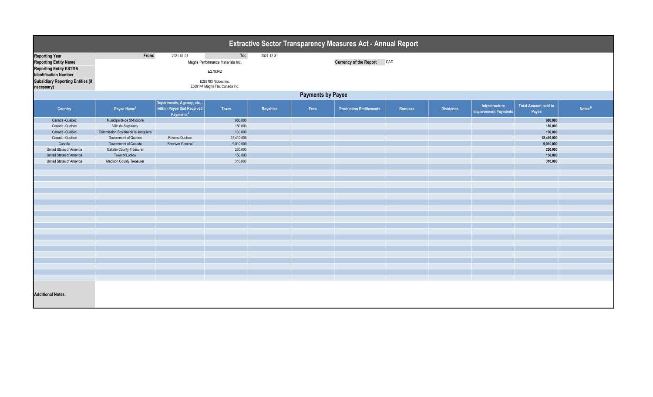| Extractive Sector Transparency Measures Act - Annual Report |                                     |                                                                                 |                                                        |            |      |                                |                |                  |                                               |                                      |                     |
|-------------------------------------------------------------|-------------------------------------|---------------------------------------------------------------------------------|--------------------------------------------------------|------------|------|--------------------------------|----------------|------------------|-----------------------------------------------|--------------------------------------|---------------------|
| <b>Reporting Year</b>                                       | From:                               | 2021-01-01                                                                      | To:                                                    | 2021-12-31 |      |                                |                |                  |                                               |                                      |                     |
| <b>Reporting Entity Name</b>                                |                                     |                                                                                 | Magris Performance Materials Inc.                      |            |      | <b>Currency of the Report</b>  | CAD            |                  |                                               |                                      |                     |
| <b>Reporting Entity ESTMA</b>                               |                                     |                                                                                 |                                                        |            |      |                                |                |                  |                                               |                                      |                     |
| <b>Identification Number</b>                                | E279342                             |                                                                                 |                                                        |            |      |                                |                |                  |                                               |                                      |                     |
| <b>Subsidiary Reporting Entities (if</b><br>necessary)      |                                     |                                                                                 | E263793 Niobec Inc.<br>E669144 Magris Talc Canada Inc. |            |      |                                |                |                  |                                               |                                      |                     |
| <b>Payments by Payee</b>                                    |                                     |                                                                                 |                                                        |            |      |                                |                |                  |                                               |                                      |                     |
| Country                                                     | Payee Name <sup>1</sup>             | Departments, Agency, etc<br>within Payee that Received<br>Payments <sup>2</sup> | <b>Taxes</b>                                           | Royalties  | Fees | <b>Production Entitlements</b> | <b>Bonuses</b> | <b>Dividends</b> | Infrastructure<br><b>Improvement Payments</b> | <b>Total Amount paid to</b><br>Payee | Notes <sup>34</sup> |
| Canada - Quebec                                             | Municipalite de St-Honore           |                                                                                 | 980,000                                                |            |      |                                |                |                  |                                               | 980,000                              |                     |
| Canada - Quebec                                             | Ville de Saguenay                   |                                                                                 | 180,000                                                |            |      |                                |                |                  |                                               | 180,000                              |                     |
| Canada - Quebec                                             | Commission Scolaire de la Jonquiere |                                                                                 | 130,000                                                |            |      |                                |                |                  |                                               | 130,000                              |                     |
| Canada - Quebec                                             | Government of Quebec                | Revenu Quebec                                                                   | 12,410,000                                             |            |      |                                |                |                  |                                               | 12,410,000                           |                     |
| Canada                                                      | Government of Canada                | Receiver General                                                                | 9,010,000                                              |            |      |                                |                |                  |                                               | 9,010,000                            |                     |
| United States of America                                    | <b>Gallatin County Treasurer</b>    |                                                                                 | 230,000                                                |            |      |                                |                |                  |                                               | 230,000                              |                     |
| United States of America                                    | Town of Ludlow                      |                                                                                 | 150,000                                                |            |      |                                |                |                  |                                               | 150,000                              |                     |
| United States of America                                    | Madison County Treasurer            |                                                                                 | 310,000                                                |            |      |                                |                |                  |                                               | 310,000                              |                     |
|                                                             |                                     |                                                                                 |                                                        |            |      |                                |                |                  |                                               |                                      |                     |
|                                                             |                                     |                                                                                 |                                                        |            |      |                                |                |                  |                                               |                                      |                     |
|                                                             |                                     |                                                                                 |                                                        |            |      |                                |                |                  |                                               |                                      |                     |
|                                                             |                                     |                                                                                 |                                                        |            |      |                                |                |                  |                                               |                                      |                     |
|                                                             |                                     |                                                                                 |                                                        |            |      |                                |                |                  |                                               |                                      |                     |
|                                                             |                                     |                                                                                 |                                                        |            |      |                                |                |                  |                                               |                                      |                     |
|                                                             |                                     |                                                                                 |                                                        |            |      |                                |                |                  |                                               |                                      |                     |
|                                                             |                                     |                                                                                 |                                                        |            |      |                                |                |                  |                                               |                                      |                     |
|                                                             |                                     |                                                                                 |                                                        |            |      |                                |                |                  |                                               |                                      |                     |
|                                                             |                                     |                                                                                 |                                                        |            |      |                                |                |                  |                                               |                                      |                     |
|                                                             |                                     |                                                                                 |                                                        |            |      |                                |                |                  |                                               |                                      |                     |
|                                                             |                                     |                                                                                 |                                                        |            |      |                                |                |                  |                                               |                                      |                     |
|                                                             |                                     |                                                                                 |                                                        |            |      |                                |                |                  |                                               |                                      |                     |
|                                                             |                                     |                                                                                 |                                                        |            |      |                                |                |                  |                                               |                                      |                     |
|                                                             |                                     |                                                                                 |                                                        |            |      |                                |                |                  |                                               |                                      |                     |
|                                                             |                                     |                                                                                 |                                                        |            |      |                                |                |                  |                                               |                                      |                     |
|                                                             |                                     |                                                                                 |                                                        |            |      |                                |                |                  |                                               |                                      |                     |
|                                                             |                                     |                                                                                 |                                                        |            |      |                                |                |                  |                                               |                                      |                     |
|                                                             |                                     |                                                                                 |                                                        |            |      |                                |                |                  |                                               |                                      |                     |
| <b>Additional Notes:</b>                                    |                                     |                                                                                 |                                                        |            |      |                                |                |                  |                                               |                                      |                     |